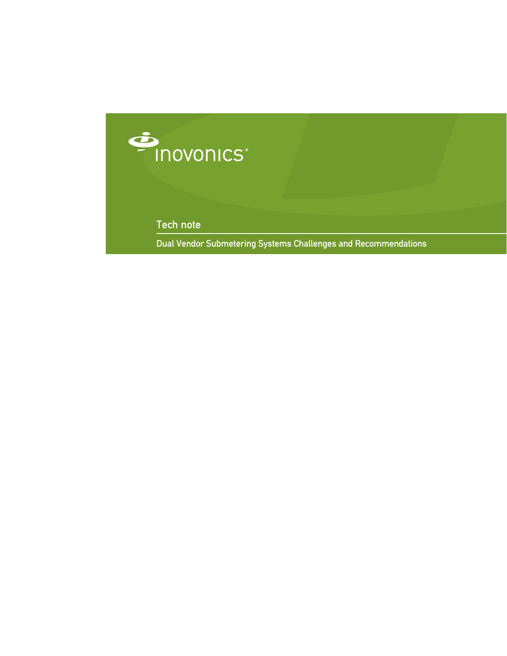

Tech note

Dual Vendor Submetering Systems Challenges and Recommendations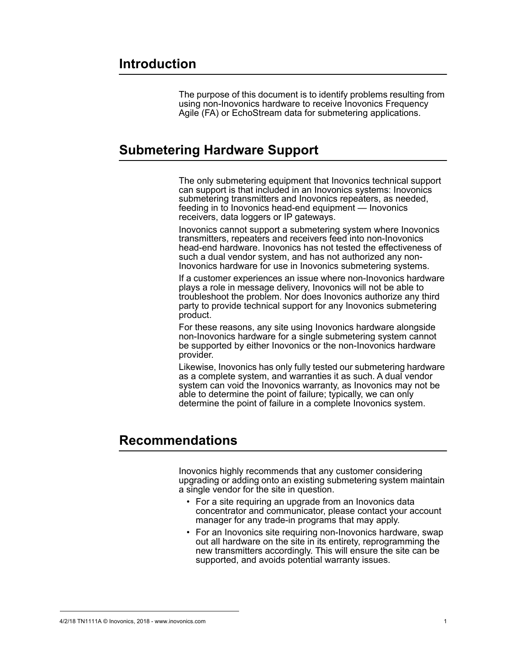The purpose of this document is to identify problems resulting from using non-Inovonics hardware to receive Inovonics Frequency Agile (FA) or EchoStream data for submetering applications.

## **Submetering Hardware Support**

The only submetering equipment that Inovonics technical support can support is that included in an Inovonics systems: Inovonics submetering transmitters and Inovonics repeaters, as needed, feeding in to Inovonics head-end equipment — Inovonics receivers, data loggers or IP gateways.

Inovonics cannot support a submetering system where Inovonics transmitters, repeaters and receivers feed into non-Inovonics head-end hardware. Inovonics has not tested the effectiveness of such a dual vendor system, and has not authorized any non-Inovonics hardware for use in Inovonics submetering systems.

If a customer experiences an issue where non-Inovonics hardware plays a role in message delivery, Inovonics will not be able to troubleshoot the problem. Nor does Inovonics authorize any third party to provide technical support for any Inovonics submetering product.

For these reasons, any site using Inovonics hardware alongside non-Inovonics hardware for a single submetering system cannot be supported by either Inovonics or the non-Inovonics hardware provider.

Likewise, Inovonics has only fully tested our submetering hardware as a complete system, and warranties it as such. A dual vendor system can void the Inovonics warranty, as Inovonics may not be able to determine the point of failure; typically, we can only determine the point of failure in a complete Inovonics system.

## **Recommendations**

Inovonics highly recommends that any customer considering upgrading or adding onto an existing submetering system maintain a single vendor for the site in question.

- For a site requiring an upgrade from an Inovonics data concentrator and communicator, please contact your account manager for any trade-in programs that may apply.
- For an Inovonics site requiring non-Inovonics hardware, swap out all hardware on the site in its entirety, reprogramming the new transmitters accordingly. This will ensure the site can be supported, and avoids potential warranty issues.